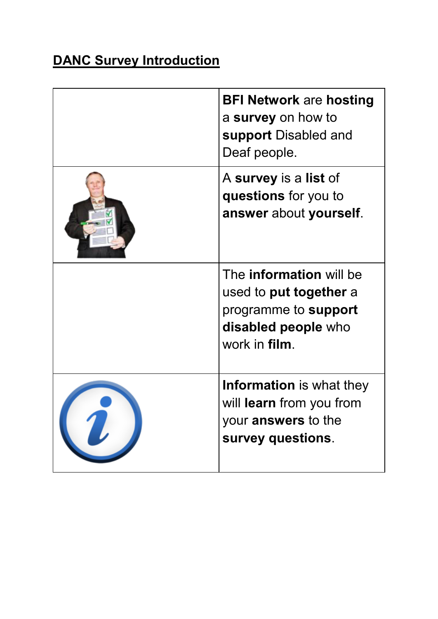## **DANC Survey Introduction**

| <b>BFI Network are hosting</b><br>a survey on how to<br>support Disabled and<br>Deaf people.                             |
|--------------------------------------------------------------------------------------------------------------------------|
| A survey is a list of<br>questions for you to<br>answer about yourself.                                                  |
| The <b>information</b> will be<br>used to put together a<br>programme to support<br>disabled people who<br>work in film. |
| <b>Information</b> is what they<br>will learn from you from<br>your <b>answers</b> to the<br>survey questions.           |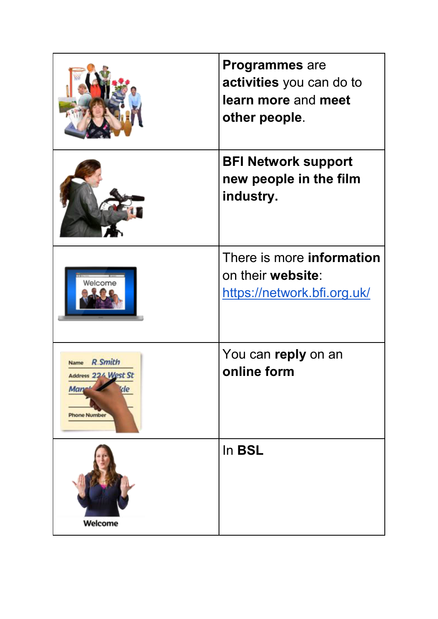|                                                                                           | <b>Programmes</b> are<br>activities you can do to<br>learn more and meet<br>other people. |
|-------------------------------------------------------------------------------------------|-------------------------------------------------------------------------------------------|
|                                                                                           | <b>BFI Network support</b><br>new people in the film<br>industry.                         |
| Welcome                                                                                   | There is more <b>information</b><br>on their website:<br>https://network.bfi.org.uk/      |
| <b>R.Smith</b><br><b>Name</b><br>Address 224 West St<br>kle<br>Man<br><b>Phone Number</b> | You can reply on an<br>online form                                                        |
| Welcome                                                                                   | In <b>BSL</b>                                                                             |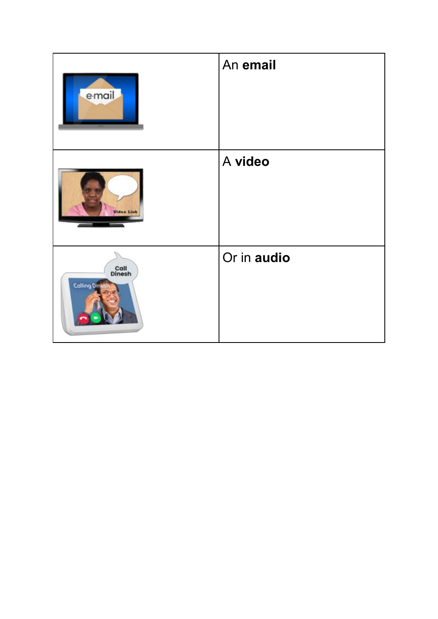| email                           | An email    |
|---------------------------------|-------------|
| Video Link                      | A video     |
| Call<br>Dinesh<br>Colling Dines | Or in audio |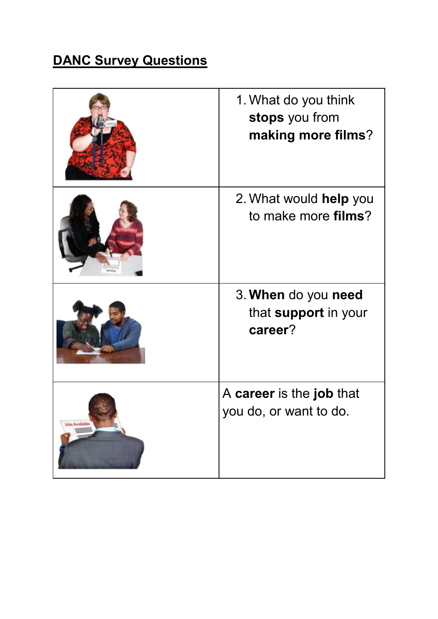## **DANC Survey Questions**

|                  | 1. What do you think<br>stops you from<br>making more films? |
|------------------|--------------------------------------------------------------|
|                  | 2. What would help you<br>to make more <b>films</b> ?        |
|                  | 3. When do you need<br>that support in your<br>career?       |
| citat, portunido | A career is the job that<br>you do, or want to do.           |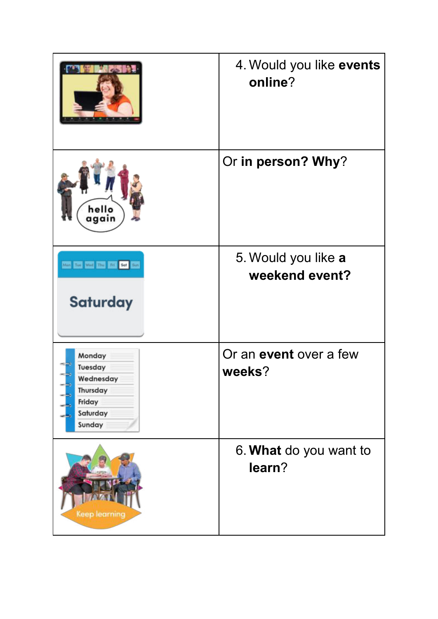|                                                                            | 4. Would you like events<br>online?     |
|----------------------------------------------------------------------------|-----------------------------------------|
| hello<br>again                                                             | Or in person? Why?                      |
| Man Tue Wed Thu Fri Sof Sun<br><b>Saturday</b>                             | 5. Would you like a<br>weekend event?   |
| Monday<br>Tuesday<br>Wednesday<br>Thursday<br>Friday<br>Saturday<br>Sunday | Or an <b>event</b> over a few<br>weeks? |
| <b>Keep learning</b>                                                       | 6. What do you want to<br>learn?        |